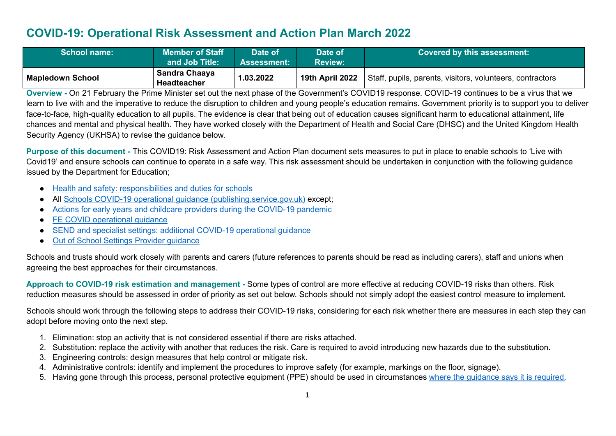## **COVID-19: Operational Risk Assessment and Action Plan March 2022**

| <b>School name:</b>     | <b>Member of Staff</b><br>and Job Title: | Date of<br>Assessment: <b>/</b> | Date of<br><b>Review:</b> | <b>Covered by this assessment:</b>                        |
|-------------------------|------------------------------------------|---------------------------------|---------------------------|-----------------------------------------------------------|
| <b>Mapledown School</b> | Sandra Chaaya<br><b>Headteacher</b>      | 1.03.2022                       | 19th April 2022           | Staff, pupils, parents, visitors, volunteers, contractors |

**Overview** - On 21 February the Prime Minister set out the next phase of the Government's COVID19 response. COVID-19 continues to be a virus that we learn to live with and the imperative to reduce the disruption to children and young people's education remains. Government priority is to support you to deliver face-to-face, high-quality education to all pupils. The evidence is clear that being out of education causes significant harm to educational attainment, life chances and mental and physical health. They have worked closely with the Department of Health and Social Care (DHSC) and the United Kingdom Health Security Agency (UKHSA) to revise the guidance below.

**Purpose of this document -** This COVID19: Risk Assessment and Action Plan document sets measures to put in place to enable schools to 'Live with Covid19' and ensure schools can continue to operate in a safe way. This risk assessment should be undertaken in conjunction with the following guidance issued by the Department for Education;

- Health and safety: [responsibilities](https://www.gov.uk/government/publications/health-and-safety-advice-for-schools/responsibilities-and-duties-for-schools) and duties for schools
- All Schools COVID-19 operational guidance [\(publishing.service.gov.uk\)](https://assets.publishing.service.gov.uk/government/uploads/system/uploads/attachment_data/file/1057106/220224_Schools_guidance.pdf) except;
- Actions for early years and childcare providers during the [COVID-19](https://assets.publishing.service.gov.uk/government/uploads/system/uploads/attachment_data/file/1056993/20220223_EY_guidance.pdf) pandemic
- FE COVID [operational](https://assets.publishing.service.gov.uk/government/uploads/system/uploads/attachment_data/file/1056992/FE_COVID_operational_guidance_Feb_2022.pdf) quidance
- SEND and specialist settings: additional COVID-19 [operational](https://assets.publishing.service.gov.uk/government/uploads/system/uploads/attachment_data/file/1057037/20220223_SEND_guidance.pdf) guidance
- Out of School Settings Provider [guidance](https://assets.publishing.service.gov.uk/government/uploads/system/uploads/attachment_data/file/1057004/OOSS_Provider_guidance.pdf)

Schools and trusts should work closely with parents and carers (future references to parents should be read as including carers), staff and unions when agreeing the best approaches for their circumstances.

**Approach to COVID-19 risk estimation and management -** Some types of control are more effective at reducing COVID-19 risks than others. Risk reduction measures should be assessed in order of priority as set out below. Schools should not simply adopt the easiest control measure to implement.

Schools should work through the following steps to address their COVID-19 risks, considering for each risk whether there are measures in each step they can adopt before moving onto the next step.

- 1. Elimination: stop an activity that is not considered essential if there are risks attached.
- 2. Substitution: replace the activity with another that reduces the risk. Care is required to avoid introducing new hazards due to the substitution.
- 3. Engineering controls: design measures that help control or mitigate risk.
- 4. Administrative controls: identify and implement the procedures to improve safety (for example, markings on the floor, signage).
- 5. Having gone through this process, personal protective equipment (PPE) should be used in circumstances where the [guidance](https://assets.publishing.service.gov.uk/government/uploads/system/uploads/attachment_data/file/999689/Schools_guidance_Step_4_update_FINAL.pdf) says it is required.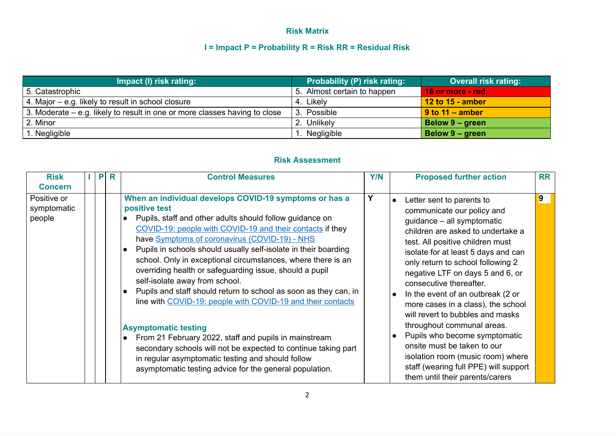## **Risk Matrix**

## **I = Impact P = Probability R = Risk RR = Residual Risk**

| Impact (I) risk rating:                                                    | <b>Probability (P) risk rating:</b> | <b>Overall risk rating:</b> |
|----------------------------------------------------------------------------|-------------------------------------|-----------------------------|
| 5. Catastrophic                                                            | 5. Almost certain to happen         | 16 or more - red            |
| 4. Major $-$ e.g. likely to result in school closure                       | 4. Likely                           | 12 to 15 - amber            |
| 3. Moderate – e.g. likely to result in one or more classes having to close | Possible                            | $\sqrt{9}$ to 11 – amber    |
| 2. Minor                                                                   | 2. Unlikely                         | <b>Below 9 - green</b>      |
| 1. Negligible                                                              | 1. Negligible                       | Below 9 - green             |

## **Risk Assessment**

| <b>Risk</b><br><b>Concern</b>        | P | R | <b>Control Measures</b>                                                                                                                                                                                                                                                                                                                                                                                                                                                                                                                                                                                              | <b>Y/N</b> | <b>Proposed further action</b>                                                                                                                                                                                                                                                                                                                                                                                           | <b>RR</b> |
|--------------------------------------|---|---|----------------------------------------------------------------------------------------------------------------------------------------------------------------------------------------------------------------------------------------------------------------------------------------------------------------------------------------------------------------------------------------------------------------------------------------------------------------------------------------------------------------------------------------------------------------------------------------------------------------------|------------|--------------------------------------------------------------------------------------------------------------------------------------------------------------------------------------------------------------------------------------------------------------------------------------------------------------------------------------------------------------------------------------------------------------------------|-----------|
| Positive or<br>symptomatic<br>people |   |   | When an individual develops COVID-19 symptoms or has a<br>positive test<br>Pupils, staff and other adults should follow guidance on<br>COVID-19: people with COVID-19 and their contacts if they<br>have Symptoms of coronavirus (COVID-19) - NHS<br>Pupils in schools should usually self-isolate in their boarding<br>school. Only in exceptional circumstances, where there is an<br>overriding health or safeguarding issue, should a pupil<br>self-isolate away from school.<br>Pupils and staff should return to school as soon as they can, in<br>line with COVID-19: people with COVID-19 and their contacts | Y          | Letter sent to parents to<br>communicate our policy and<br>guidance - all symptomatic<br>children are asked to undertake a<br>test. All positive children must<br>isolate for at least 5 days and can<br>only return to school following 2<br>negative LTF on days 5 and 6, or<br>consecutive thereafter.<br>In the event of an outbreak (2 or<br>more cases in a class), the school<br>will revert to bubbles and masks | 9         |
|                                      |   |   | <b>Asymptomatic testing</b><br>From 21 February 2022, staff and pupils in mainstream<br>secondary schools will not be expected to continue taking part<br>in regular asymptomatic testing and should follow<br>asymptomatic testing advice for the general population.                                                                                                                                                                                                                                                                                                                                               |            | throughout communal areas.<br>Pupils who become symptomatic<br>onsite must be taken to our<br>isolation room (music room) where<br>staff (wearing full PPE) will support<br>them until their parents/carers                                                                                                                                                                                                              |           |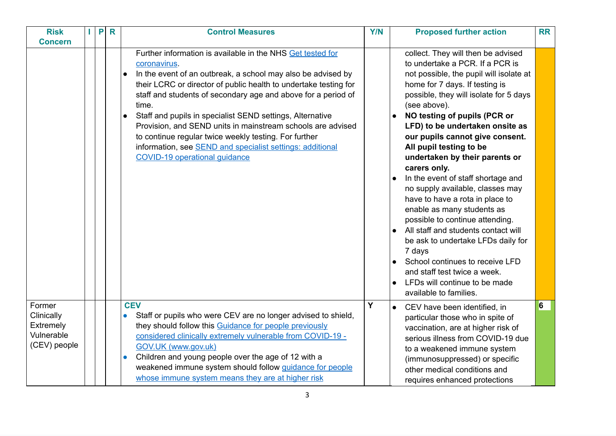| <b>Risk</b><br><b>Concern</b>                                   | H. | P | $\mathsf{R}$ | <b>Control Measures</b>                                                                                                                                                                                                                                                                                                                                                                                                                                                                                                                                                                                | <b>Y/N</b> | <b>Proposed further action</b>                                                                                                                                                                                                                                                                                                                                                                                                                                                                                                                                                                                                                                                                                                                                                                       | <b>RR</b> |
|-----------------------------------------------------------------|----|---|--------------|--------------------------------------------------------------------------------------------------------------------------------------------------------------------------------------------------------------------------------------------------------------------------------------------------------------------------------------------------------------------------------------------------------------------------------------------------------------------------------------------------------------------------------------------------------------------------------------------------------|------------|------------------------------------------------------------------------------------------------------------------------------------------------------------------------------------------------------------------------------------------------------------------------------------------------------------------------------------------------------------------------------------------------------------------------------------------------------------------------------------------------------------------------------------------------------------------------------------------------------------------------------------------------------------------------------------------------------------------------------------------------------------------------------------------------------|-----------|
|                                                                 |    |   |              | Further information is available in the NHS Get tested for<br>coronavirus.<br>In the event of an outbreak, a school may also be advised by<br>$\bullet$<br>their LCRC or director of public health to undertake testing for<br>staff and students of secondary age and above for a period of<br>time.<br>Staff and pupils in specialist SEND settings, Alternative<br>Provision, and SEND units in mainstream schools are advised<br>to continue regular twice weekly testing. For further<br>information, see <b>SEND</b> and specialist settings: additional<br><b>COVID-19 operational quidance</b> |            | collect. They will then be advised<br>to undertake a PCR. If a PCR is<br>not possible, the pupil will isolate at<br>home for 7 days. If testing is<br>possible, they will isolate for 5 days<br>(see above).<br>NO testing of pupils (PCR or<br>LFD) to be undertaken onsite as<br>our pupils cannot give consent.<br>All pupil testing to be<br>undertaken by their parents or<br>carers only.<br>In the event of staff shortage and<br>no supply available, classes may<br>have to have a rota in place to<br>enable as many students as<br>possible to continue attending.<br>• All staff and students contact will<br>be ask to undertake LFDs daily for<br>7 days<br>School continues to receive LFD<br>and staff test twice a week.<br>LFDs will continue to be made<br>available to families. |           |
| Former<br>Clinically<br>Extremely<br>Vulnerable<br>(CEV) people |    |   |              | <b>CEV</b><br>Staff or pupils who were CEV are no longer advised to shield,<br>$\bullet$<br>they should follow this Guidance for people previously<br>considered clinically extremely vulnerable from COVID-19 -<br>GOV.UK (www.gov.uk)<br>Children and young people over the age of 12 with a<br>$\bullet$<br>weakened immune system should follow quidance for people<br>whose immune system means they are at higher risk                                                                                                                                                                           | Y          | • CEV have been identified, in<br>particular those who in spite of<br>vaccination, are at higher risk of<br>serious illness from COVID-19 due<br>to a weakened immune system<br>(immunosuppressed) or specific<br>other medical conditions and<br>requires enhanced protections                                                                                                                                                                                                                                                                                                                                                                                                                                                                                                                      | 6         |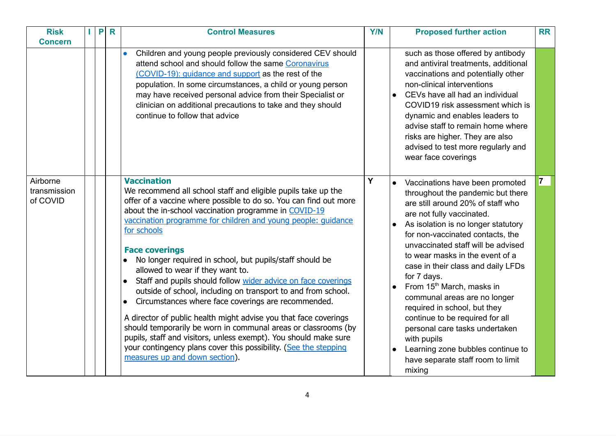| <b>Risk</b><br><b>Concern</b>        | P | $\mathsf{R}$ | <b>Control Measures</b>                                                                                                                                                                                                                                                                                                                                                                                                                                                                                                                                                                                                                                                                                                                                                                                                                                                                                                                          | <b>Y/N</b> | <b>Proposed further action</b>                                                                                                                                                                                                                                                                                                                                                                                                                                                                                                                                                                                                                | <b>RR</b>               |
|--------------------------------------|---|--------------|--------------------------------------------------------------------------------------------------------------------------------------------------------------------------------------------------------------------------------------------------------------------------------------------------------------------------------------------------------------------------------------------------------------------------------------------------------------------------------------------------------------------------------------------------------------------------------------------------------------------------------------------------------------------------------------------------------------------------------------------------------------------------------------------------------------------------------------------------------------------------------------------------------------------------------------------------|------------|-----------------------------------------------------------------------------------------------------------------------------------------------------------------------------------------------------------------------------------------------------------------------------------------------------------------------------------------------------------------------------------------------------------------------------------------------------------------------------------------------------------------------------------------------------------------------------------------------------------------------------------------------|-------------------------|
|                                      |   |              | Children and young people previously considered CEV should<br>$\bullet$<br>attend school and should follow the same Coronavirus<br>(COVID-19): quidance and support as the rest of the<br>population. In some circumstances, a child or young person<br>may have received personal advice from their Specialist or<br>clinician on additional precautions to take and they should<br>continue to follow that advice                                                                                                                                                                                                                                                                                                                                                                                                                                                                                                                              |            | such as those offered by antibody<br>and antiviral treatments, additional<br>vaccinations and potentially other<br>non-clinical interventions<br>CEVs have all had an individual<br>COVID19 risk assessment which is<br>dynamic and enables leaders to<br>advise staff to remain home where<br>risks are higher. They are also<br>advised to test more regularly and<br>wear face coverings                                                                                                                                                                                                                                                   |                         |
| Airborne<br>transmission<br>of COVID |   |              | <b>Vaccination</b><br>We recommend all school staff and eligible pupils take up the<br>offer of a vaccine where possible to do so. You can find out more<br>about the in-school vaccination programme in COVID-19<br>vaccination programme for children and young people: quidance<br>for schools<br><b>Face coverings</b><br>No longer required in school, but pupils/staff should be<br>allowed to wear if they want to.<br>Staff and pupils should follow wider advice on face coverings<br>$\bullet$<br>outside of school, including on transport to and from school.<br>Circumstances where face coverings are recommended.<br>A director of public health might advise you that face coverings<br>should temporarily be worn in communal areas or classrooms (by<br>pupils, staff and visitors, unless exempt). You should make sure<br>your contingency plans cover this possibility. (See the stepping<br>measures up and down section). | Y          | Vaccinations have been promoted<br>throughout the pandemic but there<br>are still around 20% of staff who<br>are not fully vaccinated.<br>As isolation is no longer statutory<br>$\bullet$<br>for non-vaccinated contacts, the<br>unvaccinated staff will be advised<br>to wear masks in the event of a<br>case in their class and daily LFDs<br>for 7 days.<br>From 15 <sup>th</sup> March, masks in<br>communal areas are no longer<br>required in school, but they<br>continue to be required for all<br>personal care tasks undertaken<br>with pupils<br>Learning zone bubbles continue to<br>have separate staff room to limit<br>mixing | $\overline{\mathbf{z}}$ |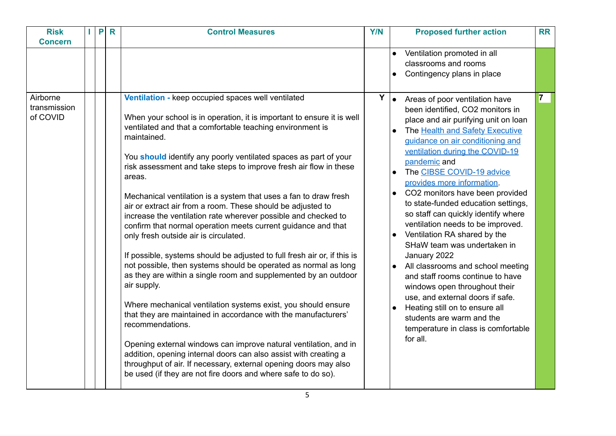| <b>Risk</b><br><b>Concern</b>        | P | R | <b>Control Measures</b>                                                                                                                                                                                                                                                                                                                                                                                                                                                                                                                                                                                                                                                                                                                                                                                                                                                                                                                                                                                                                                                                                                                                                                                                                                                                                                                         | <b>Y/N</b> | <b>Proposed further action</b>                                                                                                                                                                                                                                                                                                                                                                                                                                                                                                                                                                                                                                                                                                                                                                                                 | <b>RR</b> |
|--------------------------------------|---|---|-------------------------------------------------------------------------------------------------------------------------------------------------------------------------------------------------------------------------------------------------------------------------------------------------------------------------------------------------------------------------------------------------------------------------------------------------------------------------------------------------------------------------------------------------------------------------------------------------------------------------------------------------------------------------------------------------------------------------------------------------------------------------------------------------------------------------------------------------------------------------------------------------------------------------------------------------------------------------------------------------------------------------------------------------------------------------------------------------------------------------------------------------------------------------------------------------------------------------------------------------------------------------------------------------------------------------------------------------|------------|--------------------------------------------------------------------------------------------------------------------------------------------------------------------------------------------------------------------------------------------------------------------------------------------------------------------------------------------------------------------------------------------------------------------------------------------------------------------------------------------------------------------------------------------------------------------------------------------------------------------------------------------------------------------------------------------------------------------------------------------------------------------------------------------------------------------------------|-----------|
|                                      |   |   |                                                                                                                                                                                                                                                                                                                                                                                                                                                                                                                                                                                                                                                                                                                                                                                                                                                                                                                                                                                                                                                                                                                                                                                                                                                                                                                                                 |            | Ventilation promoted in all<br>$\bullet$<br>classrooms and rooms<br>Contingency plans in place<br>$\bullet$                                                                                                                                                                                                                                                                                                                                                                                                                                                                                                                                                                                                                                                                                                                    |           |
| Airborne<br>transmission<br>of COVID |   |   | Ventilation - keep occupied spaces well ventilated<br>When your school is in operation, it is important to ensure it is well<br>ventilated and that a comfortable teaching environment is<br>maintained.<br>You should identify any poorly ventilated spaces as part of your<br>risk assessment and take steps to improve fresh air flow in these<br>areas.<br>Mechanical ventilation is a system that uses a fan to draw fresh<br>air or extract air from a room. These should be adjusted to<br>increase the ventilation rate wherever possible and checked to<br>confirm that normal operation meets current guidance and that<br>only fresh outside air is circulated.<br>If possible, systems should be adjusted to full fresh air or, if this is<br>not possible, then systems should be operated as normal as long<br>as they are within a single room and supplemented by an outdoor<br>air supply.<br>Where mechanical ventilation systems exist, you should ensure<br>that they are maintained in accordance with the manufacturers'<br>recommendations.<br>Opening external windows can improve natural ventilation, and in<br>addition, opening internal doors can also assist with creating a<br>throughput of air. If necessary, external opening doors may also<br>be used (if they are not fire doors and where safe to do so). | Y          | $\bullet$<br>Areas of poor ventilation have<br>been identified, CO2 monitors in<br>place and air purifying unit on loan<br>The Health and Safety Executive<br>guidance on air conditioning and<br>ventilation during the COVID-19<br>pandemic and<br>The CIBSE COVID-19 advice<br>provides more information.<br>CO2 monitors have been provided<br>to state-funded education settings,<br>so staff can quickly identify where<br>ventilation needs to be improved.<br>Ventilation RA shared by the<br>SHaW team was undertaken in<br>January 2022<br>All classrooms and school meeting<br>and staff rooms continue to have<br>windows open throughout their<br>use, and external doors if safe.<br>Heating still on to ensure all<br>$\bullet$<br>students are warm and the<br>temperature in class is comfortable<br>for all. |           |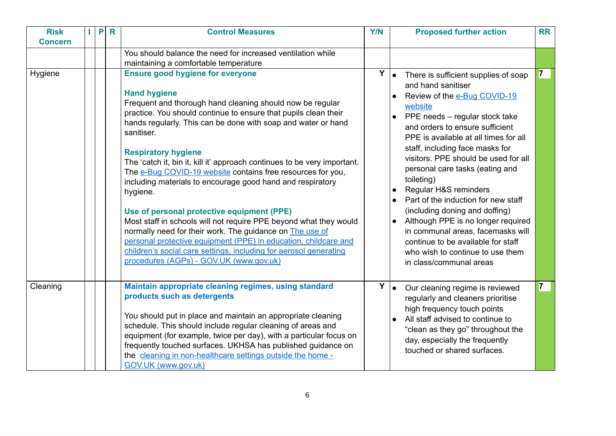| <b>Risk</b><br><b>Concern</b> |  | <b>PR</b> | <b>Control Measures</b>                                                                                                                                                                                                                                                                                                                                                                                                                                                                                                                                                                                                                                                                                                                                                                                                                                                                            | <b>Y/N</b> | <b>Proposed further action</b>                                                                                                                                                                                                                                                                                                                                                                                                                                                                                                                                                                                                                     | <b>RR</b> |
|-------------------------------|--|-----------|----------------------------------------------------------------------------------------------------------------------------------------------------------------------------------------------------------------------------------------------------------------------------------------------------------------------------------------------------------------------------------------------------------------------------------------------------------------------------------------------------------------------------------------------------------------------------------------------------------------------------------------------------------------------------------------------------------------------------------------------------------------------------------------------------------------------------------------------------------------------------------------------------|------------|----------------------------------------------------------------------------------------------------------------------------------------------------------------------------------------------------------------------------------------------------------------------------------------------------------------------------------------------------------------------------------------------------------------------------------------------------------------------------------------------------------------------------------------------------------------------------------------------------------------------------------------------------|-----------|
|                               |  |           | You should balance the need for increased ventilation while<br>maintaining a comfortable temperature                                                                                                                                                                                                                                                                                                                                                                                                                                                                                                                                                                                                                                                                                                                                                                                               |            |                                                                                                                                                                                                                                                                                                                                                                                                                                                                                                                                                                                                                                                    |           |
| Hygiene                       |  |           | <b>Ensure good hygiene for everyone</b><br><b>Hand hygiene</b><br>Frequent and thorough hand cleaning should now be regular<br>practice. You should continue to ensure that pupils clean their<br>hands regularly. This can be done with soap and water or hand<br>sanitiser.<br><b>Respiratory hygiene</b><br>The 'catch it, bin it, kill it' approach continues to be very important.<br>The e-Bug COVID-19 website contains free resources for you,<br>including materials to encourage good hand and respiratory<br>hygiene.<br>Use of personal protective equipment (PPE)<br>Most staff in schools will not require PPE beyond what they would<br>normally need for their work. The guidance on The use of<br>personal protective equipment (PPE) in education, childcare and<br>children's social care settings, including for aerosol generating<br>procedures (AGPs) - GOV.UK (www.gov.uk) |            | $Y \mid \bullet$ There is sufficient supplies of soap<br>and hand sanitiser<br>Review of the e-Bug COVID-19<br>website<br>PPE needs - regular stock take<br>and orders to ensure sufficient<br>PPE is available at all times for all<br>staff, including face masks for<br>visitors. PPE should be used for all<br>personal care tasks (eating and<br>toileting)<br>Regular H&S reminders<br>Part of the induction for new staff<br>(including doning and doffing)<br>Although PPE is no longer required<br>in communal areas, facemasks will<br>continue to be available for staff<br>who wish to continue to use them<br>in class/communal areas | 7         |
| Cleaning                      |  |           | Maintain appropriate cleaning regimes, using standard<br>products such as detergents<br>You should put in place and maintain an appropriate cleaning<br>schedule. This should include regular cleaning of areas and<br>equipment (for example, twice per day), with a particular focus on<br>frequently touched surfaces. UKHSA has published guidance on<br>the cleaning in non-healthcare settings outside the home -<br>GOV.UK (www.gov.uk)                                                                                                                                                                                                                                                                                                                                                                                                                                                     |            | $Y \mid \bullet$ Our cleaning regime is reviewed<br>regularly and cleaners prioritise<br>high frequency touch points<br>All staff advised to continue to<br>"clean as they go" throughout the<br>day, especially the frequently<br>touched or shared surfaces.                                                                                                                                                                                                                                                                                                                                                                                     |           |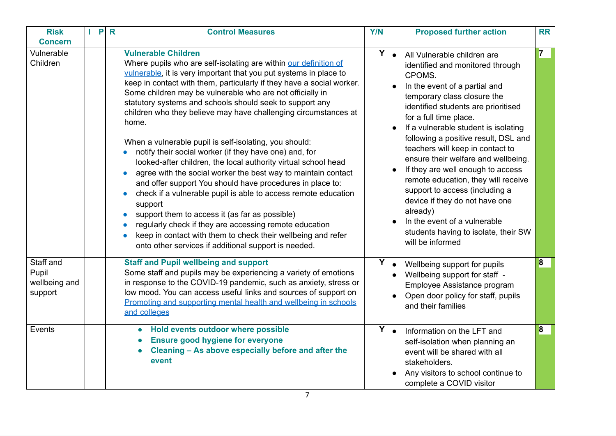| <b>Risk</b><br><b>Concern</b>                  | P | $\mathsf{R}$ | <b>Control Measures</b>                                                                                                                                                                                                                                                                                                                                                                                                                                                                                                                                                                                                                                                                                                                                                                                                                                                                                                                                                                                                                                                                                          | <b>Y/N</b> | <b>Proposed further action</b>                                                                                                                                                                                                                                                                                                                                                                                                                                                                                                                                                                                                                                  | <b>RR</b> |
|------------------------------------------------|---|--------------|------------------------------------------------------------------------------------------------------------------------------------------------------------------------------------------------------------------------------------------------------------------------------------------------------------------------------------------------------------------------------------------------------------------------------------------------------------------------------------------------------------------------------------------------------------------------------------------------------------------------------------------------------------------------------------------------------------------------------------------------------------------------------------------------------------------------------------------------------------------------------------------------------------------------------------------------------------------------------------------------------------------------------------------------------------------------------------------------------------------|------------|-----------------------------------------------------------------------------------------------------------------------------------------------------------------------------------------------------------------------------------------------------------------------------------------------------------------------------------------------------------------------------------------------------------------------------------------------------------------------------------------------------------------------------------------------------------------------------------------------------------------------------------------------------------------|-----------|
| Vulnerable<br>Children                         |   |              | <b>Vulnerable Children</b><br>Where pupils who are self-isolating are within our definition of<br>vulnerable, it is very important that you put systems in place to<br>keep in contact with them, particularly if they have a social worker.<br>Some children may be vulnerable who are not officially in<br>statutory systems and schools should seek to support any<br>children who they believe may have challenging circumstances at<br>home.<br>When a vulnerable pupil is self-isolating, you should:<br>notify their social worker (if they have one) and, for<br>looked-after children, the local authority virtual school head<br>agree with the social worker the best way to maintain contact<br>$\bullet$<br>and offer support You should have procedures in place to:<br>check if a vulnerable pupil is able to access remote education<br>support<br>support them to access it (as far as possible)<br>$\bullet$<br>regularly check if they are accessing remote education<br>keep in contact with them to check their wellbeing and refer<br>onto other services if additional support is needed. | Y          | lo l<br>All Vulnerable children are<br>identified and monitored through<br>CPOMS.<br>In the event of a partial and<br>$\bullet$<br>temporary class closure the<br>identified students are prioritised<br>for a full time place.<br>If a vulnerable student is isolating<br>following a positive result, DSL and<br>teachers will keep in contact to<br>ensure their welfare and wellbeing.<br>If they are well enough to access<br>remote education, they will receive<br>support to access (including a<br>device if they do not have one<br>already)<br>In the event of a vulnerable<br>$\bullet$<br>students having to isolate, their SW<br>will be informed | 7         |
| Staff and<br>Pupil<br>wellbeing and<br>support |   |              | <b>Staff and Pupil wellbeing and support</b><br>Some staff and pupils may be experiencing a variety of emotions<br>in response to the COVID-19 pandemic, such as anxiety, stress or<br>low mood. You can access useful links and sources of support on<br>Promoting and supporting mental health and wellbeing in schools<br>and colleges                                                                                                                                                                                                                                                                                                                                                                                                                                                                                                                                                                                                                                                                                                                                                                        |            | $Y _{\bullet}$<br>Wellbeing support for pupils<br>Wellbeing support for staff -<br>$\bullet$<br>Employee Assistance program<br>Open door policy for staff, pupils<br>and their families                                                                                                                                                                                                                                                                                                                                                                                                                                                                         | 8         |
| Events                                         |   |              | Hold events outdoor where possible<br><b>Ensure good hygiene for everyone</b><br>Cleaning - As above especially before and after the<br>event                                                                                                                                                                                                                                                                                                                                                                                                                                                                                                                                                                                                                                                                                                                                                                                                                                                                                                                                                                    |            | $Y _{\bullet}$<br>Information on the LFT and<br>self-isolation when planning an<br>event will be shared with all<br>stakeholders.<br>Any visitors to school continue to<br>complete a COVID visitor                                                                                                                                                                                                                                                                                                                                                                                                                                                             | $\bf{8}$  |